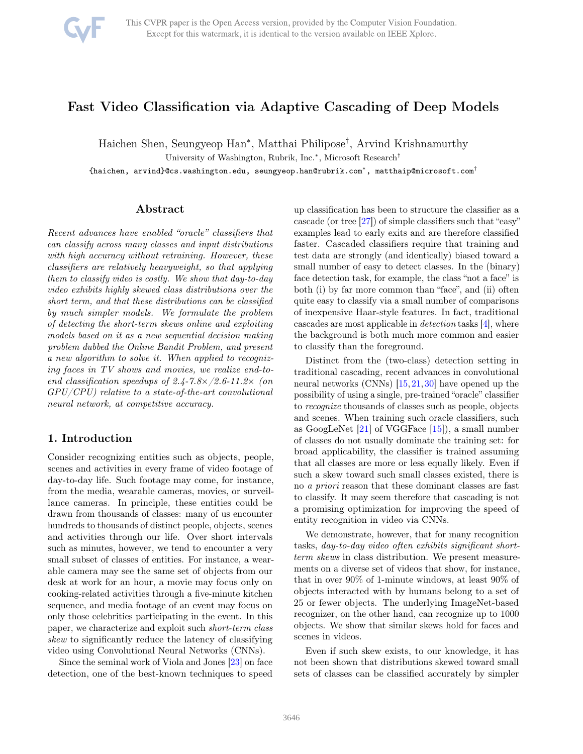# <span id="page-0-0"></span>Fast Video Classification via Adaptive Cascading of Deep Models

Haichen Shen, Seungyeop Han<sup>∗</sup> , Matthai Philipose† , Arvind Krishnamurthy

University of Washington, Rubrik, Inc.<sup>∗</sup> , Microsoft Research†

 $\mathfrak l$ haichen, arvind}@cs.washington.edu, seungyeop.han@rubrik.com $^*$ , matthaip@microsoft.com $^\dagger$ 

## Abstract

Recent advances have enabled "oracle" classifiers that can classify across many classes and input distributions with high accuracy without retraining. However, these classifiers are relatively heavyweight, so that applying them to classify video is costly. We show that day-to-day video exhibits highly skewed class distributions over the short term, and that these distributions can be classified by much simpler models. We formulate the problem of detecting the short-term skews online and exploiting models based on it as a new sequential decision making problem dubbed the Online Bandit Problem, and present a new algorithm to solve it. When applied to recognizing faces in TV shows and movies, we realize end-toend classification speedups of 2.4-7.8×/2.6-11.2× (on  $GPU/CPU$ ) relative to a state-of-the-art convolutional neural network, at competitive accuracy.

## 1. Introduction

Consider recognizing entities such as objects, people, scenes and activities in every frame of video footage of day-to-day life. Such footage may come, for instance, from the media, wearable cameras, movies, or surveillance cameras. In principle, these entities could be drawn from thousands of classes: many of us encounter hundreds to thousands of distinct people, objects, scenes and activities through our life. Over short intervals such as minutes, however, we tend to encounter a very small subset of classes of entities. For instance, a wearable camera may see the same set of objects from our desk at work for an hour, a movie may focus only on cooking-related activities through a five-minute kitchen sequence, and media footage of an event may focus on only those celebrities participating in the event. In this paper, we characterize and exploit such short-term class skew to significantly reduce the latency of classifying video using Convolutional Neural Networks (CNNs).

Since the seminal work of Viola and Jones [\[23\]](#page-8-0) on face detection, one of the best-known techniques to speed up classification has been to structure the classifier as a cascade (or tree [\[27\]](#page-8-1)) of simple classifiers such that "easy" examples lead to early exits and are therefore classified faster. Cascaded classifiers require that training and test data are strongly (and identically) biased toward a small number of easy to detect classes. In the (binary) face detection task, for example, the class "not a face" is both (i) by far more common than "face", and (ii) often quite easy to classify via a small number of comparisons of inexpensive Haar-style features. In fact, traditional cascades are most applicable in detection tasks [\[4\]](#page-8-2), where the background is both much more common and easier to classify than the foreground.

Distinct from the (two-class) detection setting in traditional cascading, recent advances in convolutional neural networks (CNNs) [\[15,](#page-8-3)[21,](#page-8-4)[30\]](#page-8-5) have opened up the possibility of using a single, pre-trained "oracle" classifier to recognize thousands of classes such as people, objects and scenes. When training such oracle classifiers, such as GoogLeNet [\[21\]](#page-8-4) of VGGFace [\[15\]](#page-8-3)), a small number of classes do not usually dominate the training set: for broad applicability, the classifier is trained assuming that all classes are more or less equally likely. Even if such a skew toward such small classes existed, there is no a priori reason that these dominant classes are fast to classify. It may seem therefore that cascading is not a promising optimization for improving the speed of entity recognition in video via CNNs.

We demonstrate, however, that for many recognition tasks, day-to-day video often exhibits significant shortterm skews in class distribution. We present measurements on a diverse set of videos that show, for instance, that in over 90% of 1-minute windows, at least 90% of objects interacted with by humans belong to a set of 25 or fewer objects. The underlying ImageNet-based recognizer, on the other hand, can recognize up to 1000 objects. We show that similar skews hold for faces and scenes in videos.

Even if such skew exists, to our knowledge, it has not been shown that distributions skewed toward small sets of classes can be classified accurately by simpler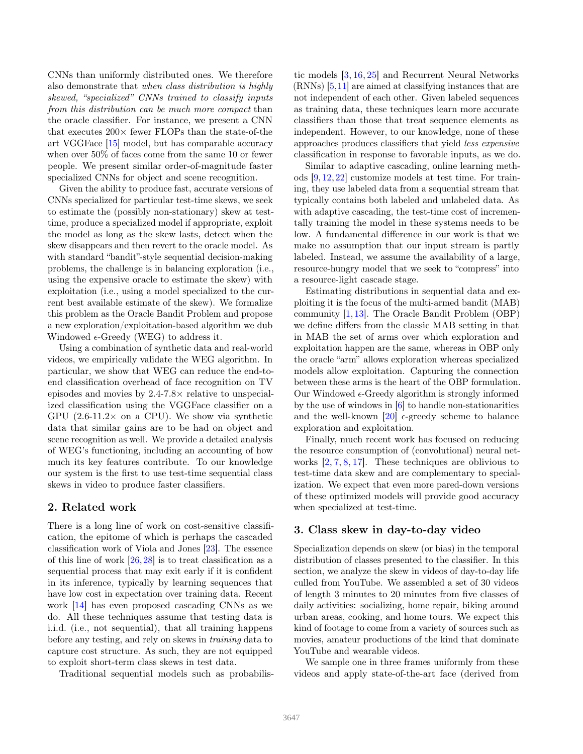<span id="page-1-0"></span>CNNs than uniformly distributed ones. We therefore also demonstrate that when class distribution is highly skewed, "specialized" CNNs trained to classify inputs from this distribution can be much more compact than the oracle classifier. For instance, we present a CNN that executes  $200 \times$  fewer FLOPs than the state-of-the art VGGFace [\[15\]](#page-8-3) model, but has comparable accuracy when over 50% of faces come from the same 10 or fewer people. We present similar order-of-magnitude faster specialized CNNs for object and scene recognition.

Given the ability to produce fast, accurate versions of CNNs specialized for particular test-time skews, we seek to estimate the (possibly non-stationary) skew at testtime, produce a specialized model if appropriate, exploit the model as long as the skew lasts, detect when the skew disappears and then revert to the oracle model. As with standard "bandit"-style sequential decision-making problems, the challenge is in balancing exploration (i.e., using the expensive oracle to estimate the skew) with exploitation (i.e., using a model specialized to the current best available estimate of the skew). We formalize this problem as the Oracle Bandit Problem and propose a new exploration/exploitation-based algorithm we dub Windowed  $\epsilon$ -Greedy (WEG) to address it.

Using a combination of synthetic data and real-world videos, we empirically validate the WEG algorithm. In particular, we show that WEG can reduce the end-toend classification overhead of face recognition on TV episodes and movies by 2.4-7.8× relative to unspecialized classification using the VGGFace classifier on a GPU  $(2.6\n-11.2\times$  on a CPU). We show via synthetic data that similar gains are to be had on object and scene recognition as well. We provide a detailed analysis of WEG's functioning, including an accounting of how much its key features contribute. To our knowledge our system is the first to use test-time sequential class skews in video to produce faster classifiers.

## 2. Related work

There is a long line of work on cost-sensitive classification, the epitome of which is perhaps the cascaded classification work of Viola and Jones [\[23\]](#page-8-0). The essence of this line of work  $[26, 28]$  $[26, 28]$  is to treat classification as a sequential process that may exit early if it is confident in its inference, typically by learning sequences that have low cost in expectation over training data. Recent work [\[14\]](#page-8-8) has even proposed cascading CNNs as we do. All these techniques assume that testing data is i.i.d. (i.e., not sequential), that all training happens before any testing, and rely on skews in training data to capture cost structure. As such, they are not equipped to exploit short-term class skews in test data.

Traditional sequential models such as probabilis-

tic models [\[3,](#page-8-9) [16,](#page-8-10) [25\]](#page-8-11) and Recurrent Neural Networks (RNNs) [\[5,](#page-8-12)[11\]](#page-8-13) are aimed at classifying instances that are not independent of each other. Given labeled sequences as training data, these techniques learn more accurate classifiers than those that treat sequence elements as independent. However, to our knowledge, none of these approaches produces classifiers that yield less expensive classification in response to favorable inputs, as we do.

Similar to adaptive cascading, online learning methods [\[9,](#page-8-14) [12,](#page-8-15) [22\]](#page-8-16) customize models at test time. For training, they use labeled data from a sequential stream that typically contains both labeled and unlabeled data. As with adaptive cascading, the test-time cost of incrementally training the model in these systems needs to be low. A fundamental difference in our work is that we make no assumption that our input stream is partly labeled. Instead, we assume the availability of a large, resource-hungry model that we seek to "compress" into a resource-light cascade stage.

Estimating distributions in sequential data and exploiting it is the focus of the multi-armed bandit (MAB) community [\[1,](#page-8-17) [13\]](#page-8-18). The Oracle Bandit Problem (OBP) we define differs from the classic MAB setting in that in MAB the set of arms over which exploration and exploitation happen are the same, whereas in OBP only the oracle "arm" allows exploration whereas specialized models allow exploitation. Capturing the connection between these arms is the heart of the OBP formulation. Our Windowed  $\epsilon$ -Greedy algorithm is strongly informed by the use of windows in [\[6\]](#page-8-19) to handle non-stationarities and the well-known [\[20\]](#page-8-20)  $\epsilon$ -greedy scheme to balance exploration and exploitation.

Finally, much recent work has focused on reducing the resource consumption of (convolutional) neural networks [\[2,](#page-8-21) [7,](#page-8-22) [8,](#page-8-23) [17\]](#page-8-24). These techniques are oblivious to test-time data skew and are complementary to specialization. We expect that even more pared-down versions of these optimized models will provide good accuracy when specialized at test-time.

## 3. Class skew in day-to-day video

Specialization depends on skew (or bias) in the temporal distribution of classes presented to the classifier. In this section, we analyze the skew in videos of day-to-day life culled from YouTube. We assembled a set of 30 videos of length 3 minutes to 20 minutes from five classes of daily activities: socializing, home repair, biking around urban areas, cooking, and home tours. We expect this kind of footage to come from a variety of sources such as movies, amateur productions of the kind that dominate YouTube and wearable videos.

We sample one in three frames uniformly from these videos and apply state-of-the-art face (derived from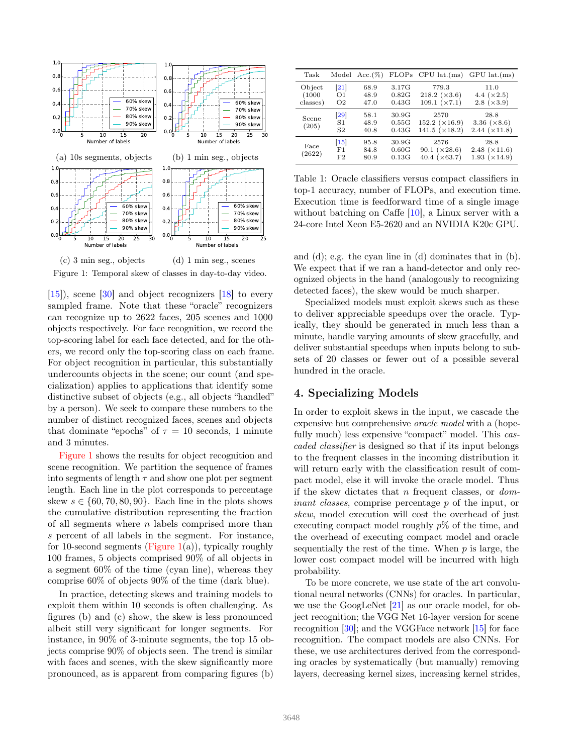<span id="page-2-3"></span><span id="page-2-0"></span>

Figure 1: Temporal skew of classes in day-to-day video.

[\[15\]](#page-8-3)), scene [\[30\]](#page-8-5) and object recognizers [\[18\]](#page-8-25) to every sampled frame. Note that these "oracle" recognizers can recognize up to 2622 faces, 205 scenes and 1000 objects respectively. For face recognition, we record the top-scoring label for each face detected, and for the others, we record only the top-scoring class on each frame. For object recognition in particular, this substantially undercounts objects in the scene; our count (and specialization) applies to applications that identify some distinctive subset of objects (e.g., all objects "handled" by a person). We seek to compare these numbers to the number of distinct recognized faces, scenes and objects that dominate "epochs" of  $\tau = 10$  seconds, 1 minute and 3 minutes.

[Figure 1](#page-2-0) shows the results for object recognition and scene recognition. We partition the sequence of frames into segments of length  $\tau$  and show one plot per segment length. Each line in the plot corresponds to percentage skew  $s \in \{60, 70, 80, 90\}$ . Each line in the plots shows the cumulative distribution representing the fraction of all segments where  $n$  labels comprised more than s percent of all labels in the segment. For instance, for 10-second segments [\(Figure 1\(](#page-2-0)a)), typically roughly 100 frames, 5 objects comprised 90% of all objects in a segment 60% of the time (cyan line), whereas they comprise 60% of objects 90% of the time (dark blue).

In practice, detecting skews and training models to exploit them within 10 seconds is often challenging. As figures (b) and (c) show, the skew is less pronounced albeit still very significant for longer segments. For instance, in 90% of 3-minute segments, the top 15 objects comprise 90% of objects seen. The trend is similar with faces and scenes, with the skew significantly more pronounced, as is apparent from comparing figures (b)

<span id="page-2-1"></span>

| Task                         |                                                  | Model $Acc.(%)$      |                         | $FLOPs$ CPU $lat.(ms)$                               | $GPU$ lat. $(ms)$                                     |
|------------------------------|--------------------------------------------------|----------------------|-------------------------|------------------------------------------------------|-------------------------------------------------------|
| Object<br>(1000)<br>classes) | $\left  21\right $<br>$\Omega$<br>O <sub>2</sub> | 68.9<br>48.9<br>47.0 | 3.17G<br>0.82G<br>0.43G | 779.3<br>218.2 $(\times 3.6)$<br>109.1 (x7.1)        | 11.0<br>4.4 $(\times 2.5)$<br>$2.8 \; (×3.9)$         |
| Scene<br>(205)               | $\left[ 29\right]$<br>S1<br>S <sub>2</sub>       | 58.1<br>48.9<br>40.8 | 30.9G<br>0.55G<br>0.43G | 2570<br>$152.2 \; (×16.9)$<br>141.5 $(\times 18.2)$  | 28.8<br>3.36 $(\times 8.6)$<br>$2.44 \; (×11.8)$      |
| Face<br>(2622)               | $\vert 15 \vert$<br>F1<br>F2                     | 95.8<br>84.8<br>80.9 | 30.9G<br>0.60G<br>0.13G | 2576<br>90.1 $(\times 28.6)$<br>40.4 $(\times 63.7)$ | 28.8<br>$2.48 \; ( \times 11.6)$<br>$1.93 \; (×14.9)$ |

Table 1: Oracle classifiers versus compact classifiers in top-1 accuracy, number of FLOPs, and execution time. Execution time is feedforward time of a single image without batching on Caffe [\[10\]](#page-8-27), a Linux server with a 24-core Intel Xeon E5-2620 and an NVIDIA K20c GPU.

and (d); e.g. the cyan line in (d) dominates that in (b). We expect that if we ran a hand-detector and only recognized objects in the hand (analogously to recognizing detected faces), the skew would be much sharper.

Specialized models must exploit skews such as these to deliver appreciable speedups over the oracle. Typically, they should be generated in much less than a minute, handle varying amounts of skew gracefully, and deliver substantial speedups when inputs belong to subsets of 20 classes or fewer out of a possible several hundred in the oracle.

## <span id="page-2-2"></span>4. Specializing Models

In order to exploit skews in the input, we cascade the expensive but comprehensive oracle model with a (hopefully much) less expensive "compact" model. This *cas*caded classifier is designed so that if its input belongs to the frequent classes in the incoming distribution it will return early with the classification result of compact model, else it will invoke the oracle model. Thus if the skew dictates that n frequent classes, or  $dom$ inant classes, comprise percentage p of the input, or skew, model execution will cost the overhead of just executing compact model roughly  $p\%$  of the time, and the overhead of executing compact model and oracle sequentially the rest of the time. When  $p$  is large, the lower cost compact model will be incurred with high probability.

To be more concrete, we use state of the art convolutional neural networks (CNNs) for oracles. In particular, we use the GoogLeNet [\[21\]](#page-8-4) as our oracle model, for object recognition; the VGG Net 16-layer version for scene recognition [\[30\]](#page-8-5); and the VGGFace network [\[15\]](#page-8-3) for face recognition. The compact models are also CNNs. For these, we use architectures derived from the corresponding oracles by systematically (but manually) removing layers, decreasing kernel sizes, increasing kernel strides,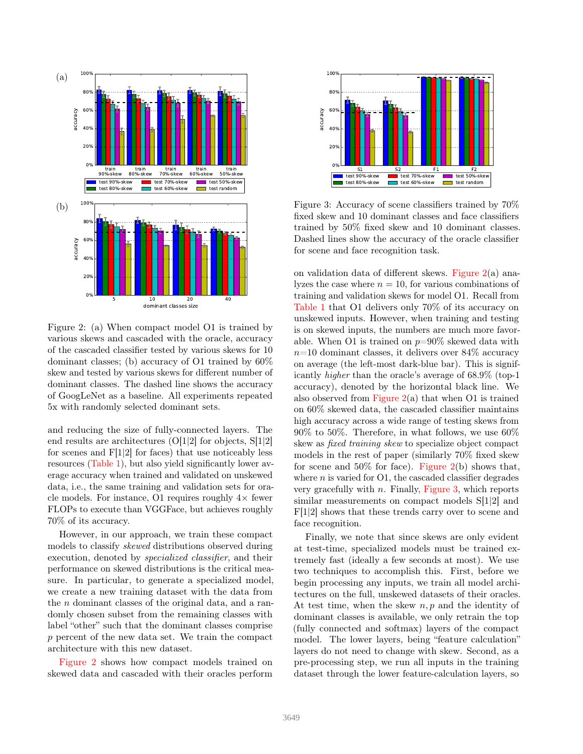<span id="page-3-0"></span>

Figure 2: (a) When compact model O1 is trained by various skews and cascaded with the oracle, accuracy of the cascaded classifier tested by various skews for 10 dominant classes; (b) accuracy of O1 trained by 60% skew and tested by various skews for different number of dominant classes. The dashed line shows the accuracy of GoogLeNet as a baseline. All experiments repeated 5x with randomly selected dominant sets.

and reducing the size of fully-connected layers. The end results are architectures (O[1|2] for objects, S[1|2] for scenes and  $F[1|2]$  for faces) that use noticeably less resources [\(Table 1\)](#page-2-1), but also yield significantly lower average accuracy when trained and validated on unskewed data, i.e., the same training and validation sets for oracle models. For instance, O1 requires roughly  $4\times$  fewer FLOPs to execute than VGGFace, but achieves roughly 70% of its accuracy.

However, in our approach, we train these compact models to classify skewed distributions observed during execution, denoted by specialized classifier, and their performance on skewed distributions is the critical measure. In particular, to generate a specialized model, we create a new training dataset with the data from the n dominant classes of the original data, and a randomly chosen subset from the remaining classes with label "other" such that the dominant classes comprise p percent of the new data set. We train the compact architecture with this new dataset.

[Figure 2](#page-3-0) shows how compact models trained on skewed data and cascaded with their oracles perform

<span id="page-3-1"></span>

Figure 3: Accuracy of scene classifiers trained by 70% fixed skew and 10 dominant classes and face classifiers trained by 50% fixed skew and 10 dominant classes. Dashed lines show the accuracy of the oracle classifier for scene and face recognition task.

on validation data of different skews. [Figure 2\(](#page-3-0)a) analyzes the case where  $n = 10$ , for various combinations of training and validation skews for model O1. Recall from [Table 1](#page-2-1) that O1 delivers only 70% of its accuracy on unskewed inputs. However, when training and testing is on skewed inputs, the numbers are much more favorable. When O1 is trained on  $p=90\%$  skewed data with  $n=10$  dominant classes, it delivers over 84\% accuracy on average (the left-most dark-blue bar). This is significantly higher than the oracle's average of 68.9% (top-1 accuracy), denoted by the horizontal black line. We also observed from Figure  $2(a)$  that when O1 is trained on 60% skewed data, the cascaded classifier maintains high accuracy across a wide range of testing skews from 90% to 50%. Therefore, in what follows, we use 60% skew as fixed training skew to specialize object compact models in the rest of paper (similarly 70% fixed skew for scene and  $50\%$  for face). [Figure 2\(](#page-3-0)b) shows that, where  $n$  is varied for O1, the cascaded classifier degrades very gracefully with  $n$ . Finally, [Figure 3,](#page-3-1) which reports similar measurements on compact models S[1|2] and F[1|2] shows that these trends carry over to scene and face recognition.

Finally, we note that since skews are only evident at test-time, specialized models must be trained extremely fast (ideally a few seconds at most). We use two techniques to accomplish this. First, before we begin processing any inputs, we train all model architectures on the full, unskewed datasets of their oracles. At test time, when the skew  $n, p$  and the identity of dominant classes is available, we only retrain the top (fully connected and softmax) layers of the compact model. The lower layers, being "feature calculation" layers do not need to change with skew. Second, as a pre-processing step, we run all inputs in the training dataset through the lower feature-calculation layers, so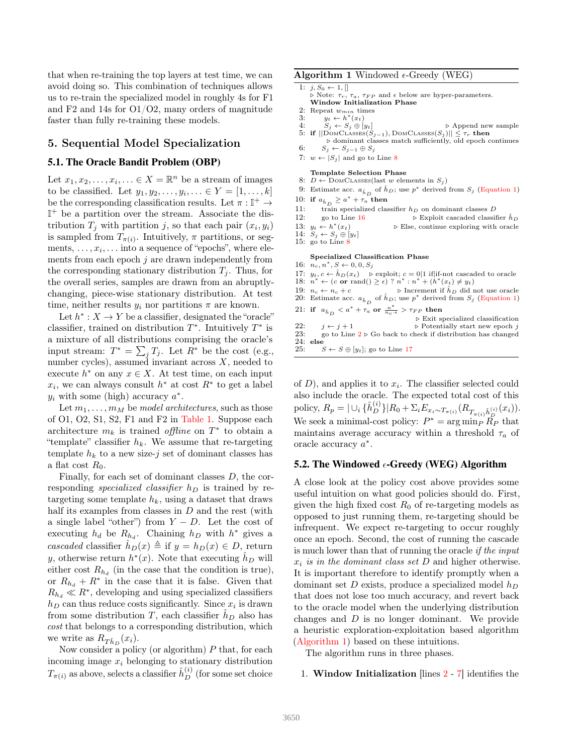that when re-training the top layers at test time, we can avoid doing so. This combination of techniques allows us to re-train the specialized model in roughly 4s for F1 and F2 and 14s for O1/O2, many orders of magnitude faster than fully re-training these models.

## 5. Sequential Model Specialization

## 5.1. The Oracle Bandit Problem (OBP)

Let  $x_1, x_2, \ldots, x_i, \ldots \in X = \mathbb{R}^n$  be a stream of images to be classified. Let  $y_1, y_2, ..., y_i, ... \in Y = [1, ..., k]$ be the corresponding classification results. Let  $\pi : \mathbb{I}^+ \to$ I <sup>+</sup> be a partition over the stream. Associate the distribution  $T_j$  with partition j, so that each pair  $(x_i, y_i)$ is sampled from  $T_{\pi(i)}$ . Intuitively,  $\pi$  partitions, or segments,  $\dots, x_i, \dots$  into a sequence of "epochs", where elements from each epoch  $j$  are drawn independently from the corresponding stationary distribution  $T_i$ . Thus, for the overall series, samples are drawn from an abruptlychanging, piece-wise stationary distribution. At test time, neither results  $y_i$  nor partitions  $\pi$  are known.

Let  $h^*: X \to Y$  be a classifier, designated the "oracle" classifier, trained on distribution  $T^*$ . Intuitively  $T^*$  is a mixture of all distributions comprising the oracle's input stream:  $T^* = \sum_j T_j$ . Let  $R^*$  be the cost (e.g., number cycles), assumed invariant across  $X$ , needed to execute  $h^*$  on any  $x \in X$ . At test time, on each input  $x_i$ , we can always consult  $h^*$  at cost  $R^*$  to get a label  $y_i$  with some (high) accuracy  $a^*$ .

Let  $m_1, \ldots, m_M$  be *model architectures*, such as those of O1, O2, S1, S2, F1 and F2 in [Table 1.](#page-2-1) Suppose each architecture  $m_k$  is trained *offline* on  $T^*$  to obtain a "template" classifier  $h_k$ . We assume that re-targeting template  $h_k$  to a new size-j set of dominant classes has a flat cost  $R_0$ .

Finally, for each set of dominant classes D, the corresponding specialized classifier  $h_D$  is trained by retargeting some template  $h_k$ , using a dataset that draws half its examples from classes in  $D$  and the rest (with a single label "other") from  $Y - D$ . Let the cost of executing  $h_d$  be  $R_{h_d}$ . Chaining  $h_D$  with  $h^*$  gives a cascaded classifier  $\hat{h}_D(x) \triangleq \text{if } y = h_D(x) \in D$ , return y, otherwise return  $h^*(x)$ . Note that executing  $\hat{h}_D$  will either cost  $R_{h_d}$  (in the case that the condition is true), or  $R_{h_d} + R^*$  in the case that it is false. Given that  $R_{h_d} \ll R^*$ , developing and using specialized classifiers  $h_D$  can thus reduce costs significantly. Since  $x_i$  is drawn from some distribution T, each classifier  $h_D$  also has cost that belongs to a corresponding distribution, which we write as  $R_{\hat{Th}_D}(x_i)$ .

Now consider a policy (or algorithm)  $P$  that, for each incoming image  $x_i$  belonging to stationary distribution  $T_{\pi(i)}$  as above, selects a classifier  $\hat{h}_D^{(i)}$  (for some set choice

#### <span id="page-4-1"></span>**Algorithm 1** Windowed  $\epsilon$ -Greedy (WEG)

 $\overline{1: j, S_0 \leftarrow 1, []}$ 

 $\triangleright$  Note:  $\tau_r$ ,  $\tau_a$ ,  $\tau_{FP}$  and  $\epsilon$  below are hyper-parameters.<br>Window Initialization Phase

- 2: Repeat  $w_{min}$  times<br>3:  $u_t \leftarrow h^*(x_t)$ 3:  $y_t \leftarrow h^*(x_t)$
- 
- 4:  $S_i \leftarrow S_j \oplus [y_t]$   $\triangleright$  Append new sample 5: if  $||$ DOMCLASSES $(S_{j-1})$ , DOMCLASSES $(S_j)$ ||  $\leq \tau_r$  then ⊲ dominant classes match sufficiently, old epoch continues
- 6:  $S_j \leftarrow S_{j-1} \oplus S_j$
- 7:  $w \leftarrow |S_j|$  and go to Line [8](#page-4-0)
- Template Selection Phase
- 8:  $D \leftarrow$  DOMCLASSES(last w elements in  $S_i$ )
- 9: Estimate acc.  $a_{\hat{h}_D}$  of  $\hat{h}_D$ ; use  $p^*$  derived from  $S_j$  [\(Equation 1\)](#page-5-0) 10: if  $a_{\hat{h}_D} \geq a^* + \tau_a$  then
- 11: train specialized classifier  $h_D$  on dominant classes D<br>12: go to Line 16 <br>b Exploit cascaded classif
	- $\rhd$  Exploit cascaded classifier  $\hat{h}_D$
- 13:  $y_t \leftarrow h^*$ (xt) ⊲ Else, continue exploring with oracle
- 14:  $S_j \leftarrow S_j \oplus [y_t]$ <br>15: go to Line [8](#page-4-0)

#### Specialized Classification Phase

- 16:  $n_c, n^*, S \leftarrow 0, 0, S_j$
- 17:  $y_t, c \leftarrow \hat{h}_D(x_t) \quad \text{is explicit}; c = 0|1 \text{ if}| \text{if-not cascaded to oracle } 18: n^* \leftarrow (c \text{ or } \text{rand}() \geq \epsilon) ? n^* : n^* + (h^*(x_t) \neq y_t)$
- 
- 19:  $n_c \leftarrow n_c + c$  > Increment if  $h_D$  did not use oracle
- 20: Estimate acc.  $a_{\hat{h}_D}$  of  $\hat{h}_D$ ; use  $p^*$  derived from  $S_j$  [\(Equation 1\)](#page-5-0)
- 21: if  $a_{\hat{h}_D} < a^* + \tau_a$  or  $\frac{n^*}{n_c \cdot \epsilon} > \tau_{FP}$  then

|     |                                               | $\triangleright$ Exit specialized classification                           |
|-----|-----------------------------------------------|----------------------------------------------------------------------------|
| 22: | $i \leftarrow i+1$                            | $\triangleright$ Potentially start new epoch j                             |
| 23. |                                               | go to Line $2 \triangleright$ Go back to check if distribution has changed |
|     | $24: \> \>$ else                              |                                                                            |
| 25. | $S \leftarrow S \oplus [y_t]$ ; go to Line 17 |                                                                            |

of  $D$ ), and applies it to  $x_i$ . The classifier selected could also include the oracle. The expected total cost of this policy,  $R_p = |\cup_i \{\hat{h}_{D}^{(i)}\}| R_0 + \Sigma_i E_{x_i \sim T_{\pi(i)}} (R_{T_{\pi(i)}\hat{h}_{D}^{(i)}}(x_i)).$ We seek a minimal-cost policy:  $P^* = \arg \min_P \widetilde{R}_P$  that maintains average accuracy within a threshold  $\tau_a$  of oracle accuracy  $a^*$ .

## <span id="page-4-0"></span>5.2. The Windowed  $\epsilon$ -Greedy (WEG) Algorithm

A close look at the policy cost above provides some useful intuition on what good policies should do. First, given the high fixed cost  $R_0$  of re-targeting models as opposed to just running them, re-targeting should be infrequent. We expect re-targeting to occur roughly once an epoch. Second, the cost of running the cascade is much lower than that of running the oracle if the input  $x_i$  is in the dominant class set D and higher otherwise. It is important therefore to identify promptly when a dominant set D exists, produce a specialized model  $h_D$ that does not lose too much accuracy, and revert back to the oracle model when the underlying distribution changes and D is no longer dominant. We provide a heuristic exploration-exploitation based algorithm [\(Algorithm 1\)](#page-4-1) based on these intuitions.

The algorithm runs in three phases.

### 1. Window Initialization  $\left[\frac{\mu}{2} - 7\right]$  $\left[\frac{\mu}{2} - 7\right]$  $\left[\frac{\mu}{2} - 7\right]$  identifies the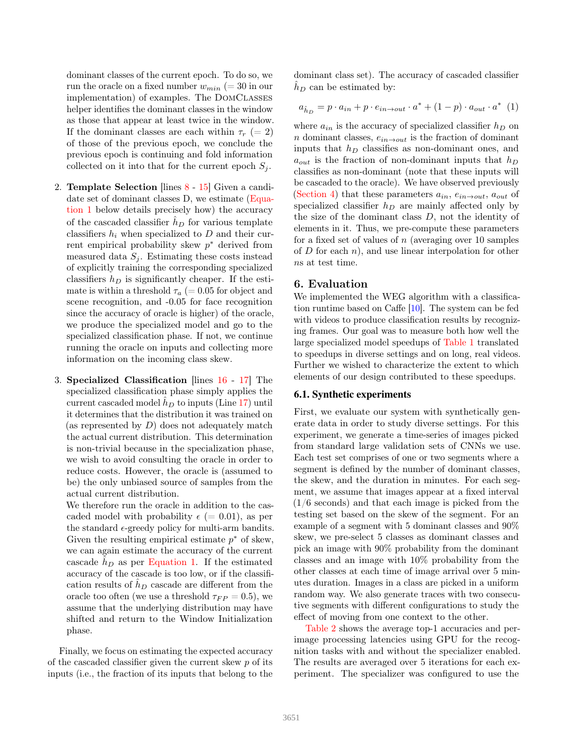<span id="page-5-1"></span>dominant classes of the current epoch. To do so, we run the oracle on a fixed number  $w_{min} (= 30$  in our implementation) of examples. The DomClasses helper identifies the dominant classes in the window as those that appear at least twice in the window. If the dominant classes are each within  $\tau_r$  (= 2) of those of the previous epoch, we conclude the previous epoch is continuing and fold information collected on it into that for the current epoch  $S_i$ .

- 2. Template Selection [lines [8](#page-4-0) [15\]](#page-4-0) Given a candi-date set of dominant classes D, we estimate [\(Equa](#page-5-0)[tion 1](#page-5-0) below details precisely how) the accuracy of the cascaded classifier  $h_D$  for various template classifiers  $h_i$  when specialized to D and their current empirical probability skew  $p^*$  derived from measured data  $S_i$ . Estimating these costs instead of explicitly training the corresponding specialized classifiers  $h_D$  is significantly cheaper. If the estimate is within a threshold  $\tau_a$  (= 0.05 for object and scene recognition, and -0.05 for face recognition since the accuracy of oracle is higher) of the oracle, we produce the specialized model and go to the specialized classification phase. If not, we continue running the oracle on inputs and collecting more information on the incoming class skew.
- 3. Specialized Classification [lines [16](#page-4-0) [17\]](#page-4-0) The specialized classification phase simply applies the current cascaded model  $\hat{h}_D$  to inputs (Line [17\)](#page-4-0) until it determines that the distribution it was trained on (as represented by  $D$ ) does not adequately match the actual current distribution. This determination is non-trivial because in the specialization phase, we wish to avoid consulting the oracle in order to reduce costs. However, the oracle is (assumed to be) the only unbiased source of samples from the actual current distribution.

We therefore run the oracle in addition to the cascaded model with probability  $\epsilon$  (= 0.01), as per the standard  $\epsilon$ -greedy policy for multi-arm bandits. Given the resulting empirical estimate  $p^*$  of skew, we can again estimate the accuracy of the current cascade  $h_D$  as per [Equation 1.](#page-5-0) If the estimated accuracy of the cascade is too low, or if the classification results of  $h<sub>D</sub>$  cascade are different from the oracle too often (we use a threshold  $\tau_{FP} = 0.5$ ), we assume that the underlying distribution may have shifted and return to the Window Initialization phase.

Finally, we focus on estimating the expected accuracy of the cascaded classifier given the current skew p of its inputs (i.e., the fraction of its inputs that belong to the dominant class set). The accuracy of cascaded classifier  $h_D$  can be estimated by:

<span id="page-5-0"></span>
$$
a_{\hat{h}_D} = p \cdot a_{in} + p \cdot e_{in \to out} \cdot a^* + (1 - p) \cdot a_{out} \cdot a^* \tag{1}
$$

where  $a_{in}$  is the accuracy of specialized classifier  $h_D$  on n dominant classes,  $e_{in\rightarrow out}$  is the fraction of dominant inputs that  $h_D$  classifies as non-dominant ones, and  $a_{out}$  is the fraction of non-dominant inputs that  $h_D$ classifies as non-dominant (note that these inputs will be cascaded to the oracle). We have observed previously [\(Section 4\)](#page-2-2) that these parameters  $a_{in}$ ,  $e_{in \rightarrow out}$ ,  $a_{out}$  of specialized classifier  $h_D$  are mainly affected only by the size of the dominant class  $D$ , not the identity of elements in it. Thus, we pre-compute these parameters for a fixed set of values of  $n$  (averaging over 10 samples of  $D$  for each  $n$ ), and use linear interpolation for other ns at test time.

## 6. Evaluation

We implemented the WEG algorithm with a classification runtime based on Caffe [\[10\]](#page-8-27). The system can be fed with videos to produce classification results by recognizing frames. Our goal was to measure both how well the large specialized model speedups of [Table 1](#page-2-1) translated to speedups in diverse settings and on long, real videos. Further we wished to characterize the extent to which elements of our design contributed to these speedups.

## 6.1. Synthetic experiments

First, we evaluate our system with synthetically generate data in order to study diverse settings. For this experiment, we generate a time-series of images picked from standard large validation sets of CNNs we use. Each test set comprises of one or two segments where a segment is defined by the number of dominant classes, the skew, and the duration in minutes. For each segment, we assume that images appear at a fixed interval (1/6 seconds) and that each image is picked from the testing set based on the skew of the segment. For an example of a segment with 5 dominant classes and 90% skew, we pre-select 5 classes as dominant classes and pick an image with 90% probability from the dominant classes and an image with 10% probability from the other classes at each time of image arrival over 5 minutes duration. Images in a class are picked in a uniform random way. We also generate traces with two consecutive segments with different configurations to study the effect of moving from one context to the other.

[Table 2](#page-6-0) shows the average top-1 accuracies and perimage processing latencies using GPU for the recognition tasks with and without the specializer enabled. The results are averaged over 5 iterations for each experiment. The specializer was configured to use the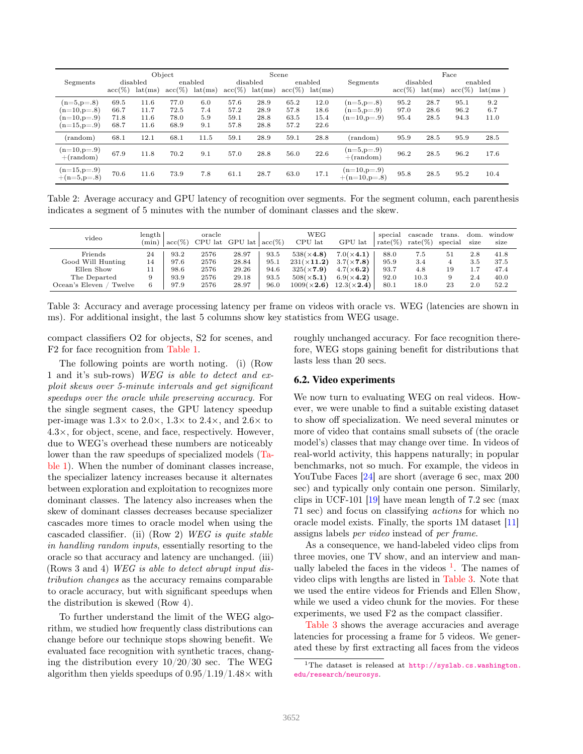<span id="page-6-3"></span><span id="page-6-0"></span>

|                                | Object             |         |                    |         |                    |         | Scene              |         |                                 | Face               |         |                    |         |
|--------------------------------|--------------------|---------|--------------------|---------|--------------------|---------|--------------------|---------|---------------------------------|--------------------|---------|--------------------|---------|
| Segments                       | disabled           |         | enabled            |         | disabled           |         | enabled            |         | Segments                        | disabled           |         | enabled            |         |
|                                | $\mathrm{acc}(\%)$ | lat(ms) | $\mathrm{acc}(\%)$ | lat(ms) | $\mathrm{acc}(\%)$ | lat(ms) | $\mathrm{acc}(\%)$ | lat(ms) |                                 | $\mathrm{acc}(\%)$ | lat(ms) | $\mathrm{acc}(\%)$ | lat(ms) |
| $(n=5, p=.8)$                  | 69.5               | 11.6    | 77.0               | 6.0     | 57.6               | 28.9    | 65.2               | 12.0    | $(n=5,p=.8)$                    | 95.2               | 28.7    | 95.1               | 9.2     |
| $(n=10,p=.8)$                  | 66.7               | 11.7    | 72.5               | 7.4     | 57.2               | 28.9    | 57.8               | 18.6    | $(n=5,p=.9)$                    | 97.0               | 28.6    | 96.2               | 6.7     |
| $(n=10,p=.9)$                  | 71.8               | 11.6    | 78.0               | 5.9     | 59.1               | 28.8    | 63.5               | 15.4    | $(n=10,p=.9)$                   | 95.4               | 28.5    | 94.3               | 11.0    |
| $(n=15,p=.9)$                  | 68.7               | 11.6    | 68.9               | 9.1     | 57.8               | 28.8    | 57.2               | 22.6    |                                 |                    |         |                    |         |
| (random)                       | 68.1               | 12.1    | 68.1               | 11.5    | 59.1               | 28.9    | 59.1               | 28.8    | $(\text{random})$               | 95.9               | 28.5    | 95.9               | 28.5    |
| $(n=10,p=.9)$<br>$+(random)$   | 67.9               | 11.8    | 70.2               | 9.1     | 57.0               | 28.8    | 56.0               | 22.6    | $(n=5,p=.9)$<br>$+(random)$     | 96.2               | 28.5    | 96.2               | 17.6    |
| $(n=15,p=.9)$<br>$+(n=5,p=.8)$ | 70.6               | 11.6    | 73.9               | 7.8     | 61.1               | 28.7    | 63.0               | 17.1    | $(n=10,p=.9)$<br>$+(n=10,p=.8)$ | 95.8               | 28.5    | 95.2               | 10.4    |

Table 2: Average accuracy and GPU latency of recognition over segments. For the segment column, each parenthesis indicates a segment of 5 minutes with the number of dominant classes and the skew.

<span id="page-6-2"></span>

| video                                                  | length<br>$(\min)$ | $acc(\%)$            | oracle               | $CPU$ lat $ GPU$ lat    | $acc(\%)$            | <b>WEG</b><br>CPU lat                                        | GPU lat                                                      | special<br>$rate(\%)$ | $\cscade$<br>$rate(\%)$ | trans.<br>special | dom.<br>size      | window<br>size       |
|--------------------------------------------------------|--------------------|----------------------|----------------------|-------------------------|----------------------|--------------------------------------------------------------|--------------------------------------------------------------|-----------------------|-------------------------|-------------------|-------------------|----------------------|
| Friends<br>Good Will Hunting                           | 24<br>14           | 93.2<br>97.6         | 2576<br>2576         | 28.97<br>28.84          | 93.5<br>95.1         | $538(\times 4.8)$<br>$231(\times 11.2)$                      | $7.0(\times 4.1)$<br>$3.7(\times 7.8)$                       | 88.0<br>95.9          | 7.5<br>3.4              | 51                | 2.8<br>3.5        | 41.8<br>37.5         |
| Ellen Show<br>The Departed<br>Ocean's Eleven<br>Twelve | 11<br>9<br>6       | 98.6<br>93.9<br>97.9 | 2576<br>2576<br>2576 | 29.26<br>29.18<br>28.97 | 94.6<br>93.5<br>96.0 | $325(\times 7.9)$<br>$508(\times 5.1)$<br>$1009(\times 2.6)$ | $4.7(\times 6.2)$<br>$6.9(\times 4.2)$<br>$12.3(\times 2.4)$ | 93.7<br>92.0<br>80.1  | 4.8<br>$10.3\,$<br>18.0 | 19<br>23          | 1.7<br>2.4<br>2.0 | 47.4<br>40.0<br>52.2 |

Table 3: Accuracy and average processing latency per frame on videos with oracle vs. WEG (latencies are shown in ms). For additional insight, the last 5 columns show key statistics from WEG usage.

compact classifiers O2 for objects, S2 for scenes, and F2 for face recognition from [Table 1.](#page-2-1)

The following points are worth noting. (i) (Row 1 and it's sub-rows) WEG is able to detect and exploit skews over 5-minute intervals and get significant speedups over the oracle while preserving accuracy. For the single segment cases, the GPU latency speedup per-image was  $1.3\times$  to  $2.0\times$ ,  $1.3\times$  to  $2.4\times$ , and  $2.6\times$  to  $4.3\times$ , for object, scene, and face, respectively. However, due to WEG's overhead these numbers are noticeably lower than the raw speedups of specialized models [\(Ta](#page-2-1)[ble 1\)](#page-2-1). When the number of dominant classes increase, the specializer latency increases because it alternates between exploration and exploitation to recognizes more dominant classes. The latency also increases when the skew of dominant classes decreases because specializer cascades more times to oracle model when using the cascaded classifier. (ii) (Row 2) WEG is quite stable in handling random inputs, essentially resorting to the oracle so that accuracy and latency are unchanged. (iii) (Rows 3 and 4) WEG is able to detect abrupt input distribution changes as the accuracy remains comparable to oracle accuracy, but with significant speedups when the distribution is skewed (Row 4).

To further understand the limit of the WEG algorithm, we studied how frequently class distributions can change before our technique stops showing benefit. We evaluated face recognition with synthetic traces, changing the distribution every  $10/20/30$  sec. The WEG algorithm then yields speedups of  $0.95/1.19/1.48\times$  with

roughly unchanged accuracy. For face recognition therefore, WEG stops gaining benefit for distributions that lasts less than 20 secs.

## 6.2. Video experiments

We now turn to evaluating WEG on real videos. However, we were unable to find a suitable existing dataset to show off specialization. We need several minutes or more of video that contains small subsets of (the oracle model's) classes that may change over time. In videos of real-world activity, this happens naturally; in popular benchmarks, not so much. For example, the videos in YouTube Faces [\[24\]](#page-8-28) are short (average 6 sec, max 200 sec) and typically only contain one person. Similarly, clips in UCF-101  $[19]$  have mean length of 7.2 sec (max) 71 sec) and focus on classifying actions for which no oracle model exists. Finally, the sports 1M dataset [\[11\]](#page-8-13) assigns labels per video instead of per frame.

As a consequence, we hand-labeled video clips from three movies, one TV show, and an interview and manually labeled the faces in the videos  $\frac{1}{1}$  $\frac{1}{1}$  $\frac{1}{1}$ . The names of video clips with lengths are listed in [Table 3.](#page-6-2) Note that we used the entire videos for Friends and Ellen Show, while we used a video chunk for the movies. For these experiments, we used F2 as the compact classifier.

[Table 3](#page-6-2) shows the average accuracies and average latencies for processing a frame for 5 videos. We generated these by first extracting all faces from the videos

<span id="page-6-1"></span><sup>&</sup>lt;sup>1</sup>The dataset is released at [http://syslab.cs.washington.](http://syslab.cs.washington.edu/research/neurosys) [edu/research/neurosys](http://syslab.cs.washington.edu/research/neurosys).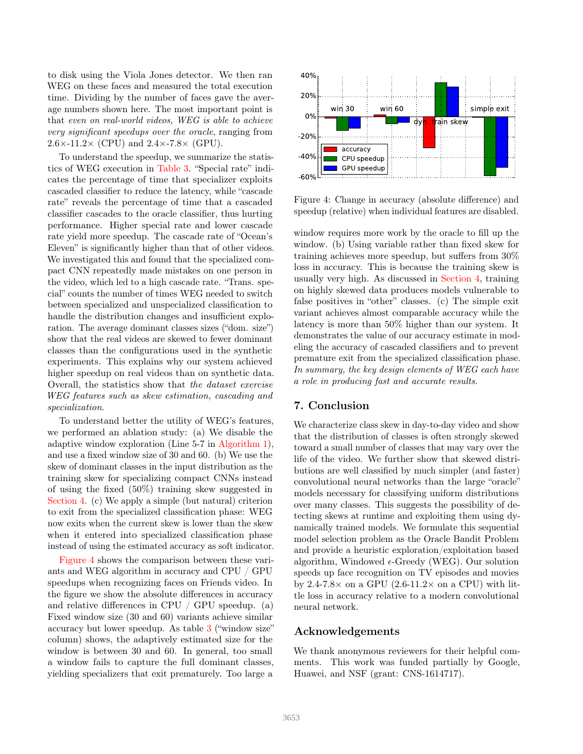to disk using the Viola Jones detector. We then ran WEG on these faces and measured the total execution time. Dividing by the number of faces gave the average numbers shown here. The most important point is that even on real-world videos, WEG is able to achieve very significant speedups over the oracle, ranging from  $2.6\times$ -11.2× (CPU) and  $2.4\times$ -7.8× (GPU).

To understand the speedup, we summarize the statistics of WEG execution in [Table 3.](#page-6-2) "Special rate" indicates the percentage of time that specializer exploits cascaded classifier to reduce the latency, while "cascade rate" reveals the percentage of time that a cascaded classifier cascades to the oracle classifier, thus hurting performance. Higher special rate and lower cascade rate yield more speedup. The cascade rate of "Ocean's Eleven" is significantly higher than that of other videos. We investigated this and found that the specialized compact CNN repeatedly made mistakes on one person in the video, which led to a high cascade rate. "Trans. special" counts the number of times WEG needed to switch between specialized and unspecialized classification to handle the distribution changes and insufficient exploration. The average dominant classes sizes ("dom. size") show that the real videos are skewed to fewer dominant classes than the configurations used in the synthetic experiments. This explains why our system achieved higher speedup on real videos than on synthetic data. Overall, the statistics show that the dataset exercise WEG features such as skew estimation, cascading and specialization.

To understand better the utility of WEG's features, we performed an ablation study: (a) We disable the adaptive window exploration (Line 5-7 in [Algorithm 1\)](#page-4-1), and use a fixed window size of 30 and 60. (b) We use the skew of dominant classes in the input distribution as the training skew for specializing compact CNNs instead of using the fixed (50%) training skew suggested in [Section 4.](#page-2-2) (c) We apply a simple (but natural) criterion to exit from the specialized classification phase: WEG now exits when the current skew is lower than the skew when it entered into specialized classification phase instead of using the estimated accuracy as soft indicator.

[Figure 4](#page-7-0) shows the comparison between these variants and WEG algorithm in accuracy and CPU / GPU speedups when recognizing faces on Friends video. In the figure we show the absolute differences in accuracy and relative differences in CPU / GPU speedup. (a) Fixed window size (30 and 60) variants achieve similar accuracy but lower speedup. As table [3](#page-6-2) ("window size" column) shows, the adaptively estimated size for the window is between 30 and 60. In general, too small a window fails to capture the full dominant classes, yielding specializers that exit prematurely. Too large a

<span id="page-7-0"></span>

Figure 4: Change in accuracy (absolute difference) and speedup (relative) when individual features are disabled.

window requires more work by the oracle to fill up the window. (b) Using variable rather than fixed skew for training achieves more speedup, but suffers from 30% loss in accuracy. This is because the training skew is usually very high. As discussed in [Section 4,](#page-2-2) training on highly skewed data produces models vulnerable to false positives in "other" classes. (c) The simple exit variant achieves almost comparable accuracy while the latency is more than 50% higher than our system. It demonstrates the value of our accuracy estimate in modeling the accuracy of cascaded classifiers and to prevent premature exit from the specialized classification phase. In summary, the key design elements of WEG each have a role in producing fast and accurate results.

## 7. Conclusion

We characterize class skew in day-to-day video and show that the distribution of classes is often strongly skewed toward a small number of classes that may vary over the life of the video. We further show that skewed distributions are well classified by much simpler (and faster) convolutional neural networks than the large "oracle" models necessary for classifying uniform distributions over many classes. This suggests the possibility of detecting skews at runtime and exploiting them using dynamically trained models. We formulate this sequential model selection problem as the Oracle Bandit Problem and provide a heuristic exploration/exploitation based algorithm, Windowed  $\epsilon$ -Greedy (WEG). Our solution speeds up face recognition on TV episodes and movies by 2.4-7.8 $\times$  on a GPU (2.6-11.2 $\times$  on a CPU) with little loss in accuracy relative to a modern convolutional neural network.

## Acknowledgements

We thank anonymous reviewers for their helpful comments. This work was funded partially by Google, Huawei, and NSF (grant: CNS-1614717).